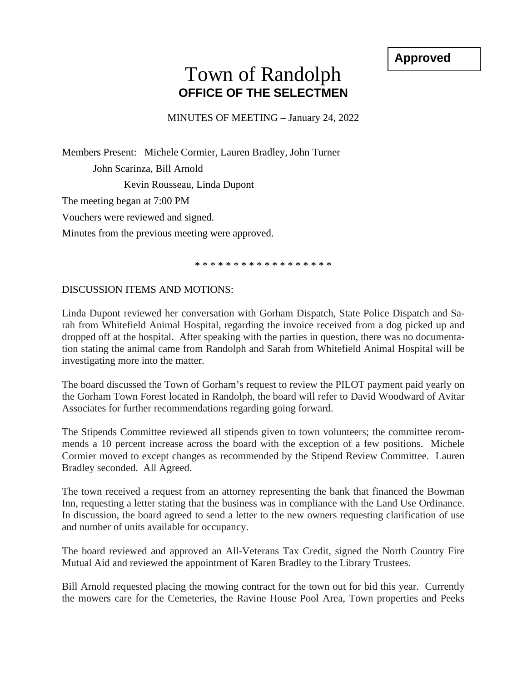**Approved**

## Town of Randolph **OFFICE OF THE SELECTMEN**

MINUTES OF MEETING – January 24, 2022

Members Present: Michele Cormier, Lauren Bradley, John Turner John Scarinza, Bill Arnold Kevin Rousseau, Linda Dupont The meeting began at 7:00 PM Vouchers were reviewed and signed. Minutes from the previous meeting were approved.

\* \* \* \* \* \* \* \* \* \* \* \* \* \* \* \* \* \*

## DISCUSSION ITEMS AND MOTIONS:

Linda Dupont reviewed her conversation with Gorham Dispatch, State Police Dispatch and Sarah from Whitefield Animal Hospital, regarding the invoice received from a dog picked up and dropped off at the hospital. After speaking with the parties in question, there was no documentation stating the animal came from Randolph and Sarah from Whitefield Animal Hospital will be investigating more into the matter.

The board discussed the Town of Gorham's request to review the PILOT payment paid yearly on the Gorham Town Forest located in Randolph, the board will refer to David Woodward of Avitar Associates for further recommendations regarding going forward.

The Stipends Committee reviewed all stipends given to town volunteers; the committee recommends a 10 percent increase across the board with the exception of a few positions. Michele Cormier moved to except changes as recommended by the Stipend Review Committee. Lauren Bradley seconded. All Agreed.

The town received a request from an attorney representing the bank that financed the Bowman Inn, requesting a letter stating that the business was in compliance with the Land Use Ordinance. In discussion, the board agreed to send a letter to the new owners requesting clarification of use and number of units available for occupancy.

The board reviewed and approved an All-Veterans Tax Credit, signed the North Country Fire Mutual Aid and reviewed the appointment of Karen Bradley to the Library Trustees.

Bill Arnold requested placing the mowing contract for the town out for bid this year. Currently the mowers care for the Cemeteries, the Ravine House Pool Area, Town properties and Peeks